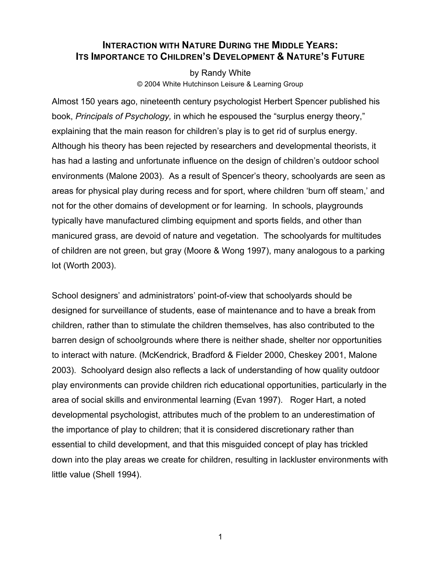# **INTERACTION WITH NATURE DURING THE MIDDLE YEARS: ITS IMPORTANCE TO CHILDREN'S DEVELOPMENT & NATURE'S FUTURE**

by Randy White © 2004 White Hutchinson Leisure & Learning Group

Almost 150 years ago, nineteenth century psychologist Herbert Spencer published his book, *Principals of Psychology,* in which he espoused the "surplus energy theory," explaining that the main reason for children's play is to get rid of surplus energy. Although his theory has been rejected by researchers and developmental theorists, it has had a lasting and unfortunate influence on the design of children's outdoor school environments (Malone 2003). As a result of Spencer's theory, schoolyards are seen as areas for physical play during recess and for sport, where children 'burn off steam,' and not for the other domains of development or for learning. In schools, playgrounds typically have manufactured climbing equipment and sports fields, and other than manicured grass, are devoid of nature and vegetation. The schoolyards for multitudes of children are not green, but gray (Moore & Wong 1997), many analogous to a parking lot (Worth 2003).

School designers' and administrators' point-of-view that schoolyards should be designed for surveillance of students, ease of maintenance and to have a break from children, rather than to stimulate the children themselves, has also contributed to the barren design of schoolgrounds where there is neither shade, shelter nor opportunities to interact with nature. (McKendrick, Bradford & Fielder 2000, Cheskey 2001, Malone 2003). Schoolyard design also reflects a lack of understanding of how quality outdoor play environments can provide children rich educational opportunities, particularly in the area of social skills and environmental learning (Evan 1997). Roger Hart, a noted developmental psychologist, attributes much of the problem to an underestimation of the importance of play to children; that it is considered discretionary rather than essential to child development, and that this misguided concept of play has trickled down into the play areas we create for children, resulting in lackluster environments with little value (Shell 1994).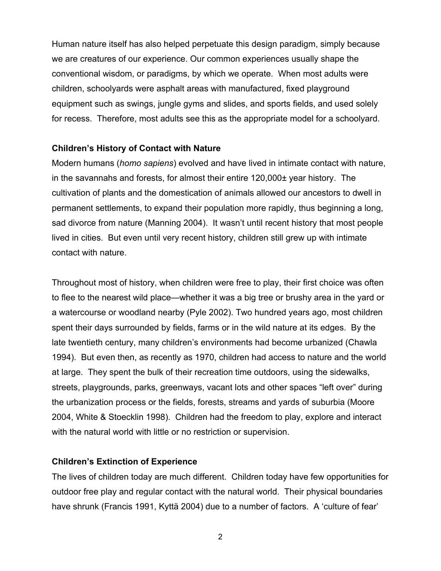Human nature itself has also helped perpetuate this design paradigm, simply because we are creatures of our experience. Our common experiences usually shape the conventional wisdom, or paradigms, by which we operate. When most adults were children, schoolyards were asphalt areas with manufactured, fixed playground equipment such as swings, jungle gyms and slides, and sports fields, and used solely for recess. Therefore, most adults see this as the appropriate model for a schoolyard.

## **Children's History of Contact with Nature**

Modern humans (*homo sapiens*) evolved and have lived in intimate contact with nature, in the savannahs and forests, for almost their entire 120,000± year history. The cultivation of plants and the domestication of animals allowed our ancestors to dwell in permanent settlements, to expand their population more rapidly, thus beginning a long, sad divorce from nature (Manning 2004). It wasn't until recent history that most people lived in cities. But even until very recent history, children still grew up with intimate contact with nature.

Throughout most of history, when children were free to play, their first choice was often to flee to the nearest wild place—whether it was a big tree or brushy area in the yard or a watercourse or woodland nearby (Pyle 2002). Two hundred years ago, most children spent their days surrounded by fields, farms or in the wild nature at its edges. By the late twentieth century, many children's environments had become urbanized (Chawla 1994). But even then, as recently as 1970, children had access to nature and the world at large. They spent the bulk of their recreation time outdoors, using the sidewalks, streets, playgrounds, parks, greenways, vacant lots and other spaces "left over" during the urbanization process or the fields, forests, streams and yards of suburbia (Moore 2004, White & Stoecklin 1998). Children had the freedom to play, explore and interact with the natural world with little or no restriction or supervision.

### **Children's Extinction of Experience**

The lives of children today are much different. Children today have few opportunities for outdoor free play and regular contact with the natural world. Their physical boundaries have shrunk (Francis 1991, Kyttä 2004) due to a number of factors. A 'culture of fear'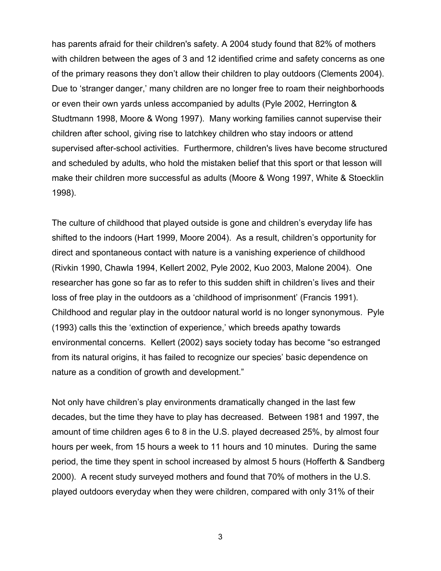has parents afraid for their children's safety. A 2004 study found that 82% of mothers with children between the ages of 3 and 12 identified crime and safety concerns as one of the primary reasons they don't allow their children to play outdoors (Clements 2004). Due to 'stranger danger,' many children are no longer free to roam their neighborhoods or even their own yards unless accompanied by adults (Pyle 2002, Herrington & Studtmann 1998, Moore & Wong 1997). Many working families cannot supervise their children after school, giving rise to latchkey children who stay indoors or attend supervised after-school activities. Furthermore, children's lives have become structured and scheduled by adults, who hold the mistaken belief that this sport or that lesson will make their children more successful as adults (Moore & Wong 1997, White & Stoecklin 1998).

The culture of childhood that played outside is gone and children's everyday life has shifted to the indoors (Hart 1999, Moore 2004). As a result, children's opportunity for direct and spontaneous contact with nature is a vanishing experience of childhood (Rivkin 1990, Chawla 1994, Kellert 2002, Pyle 2002, Kuo 2003, Malone 2004). One researcher has gone so far as to refer to this sudden shift in children's lives and their loss of free play in the outdoors as a 'childhood of imprisonment' (Francis 1991). Childhood and regular play in the outdoor natural world is no longer synonymous. Pyle (1993) calls this the 'extinction of experience,' which breeds apathy towards environmental concerns. Kellert (2002) says society today has become "so estranged from its natural origins, it has failed to recognize our species' basic dependence on nature as a condition of growth and development."

Not only have children's play environments dramatically changed in the last few decades, but the time they have to play has decreased. Between 1981 and 1997, the amount of time children ages 6 to 8 in the U.S. played decreased 25%, by almost four hours per week, from 15 hours a week to 11 hours and 10 minutes. During the same period, the time they spent in school increased by almost 5 hours (Hofferth & Sandberg 2000). A recent study surveyed mothers and found that 70% of mothers in the U.S. played outdoors everyday when they were children, compared with only 31% of their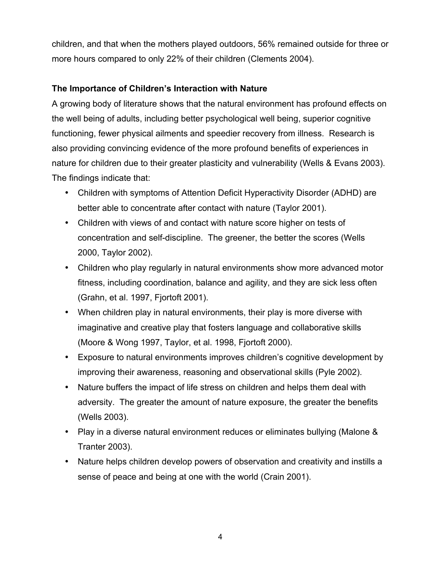children, and that when the mothers played outdoors, 56% remained outside for three or more hours compared to only 22% of their children (Clements 2004).

## **The Importance of Children's Interaction with Nature**

A growing body of literature shows that the natural environment has profound effects on the well being of adults, including better psychological well being, superior cognitive functioning, fewer physical ailments and speedier recovery from illness. Research is also providing convincing evidence of the more profound benefits of experiences in nature for children due to their greater plasticity and vulnerability (Wells & Evans 2003). The findings indicate that:

- Children with symptoms of Attention Deficit Hyperactivity Disorder (ADHD) are better able to concentrate after contact with nature (Taylor 2001).
- Children with views of and contact with nature score higher on tests of concentration and self-discipline. The greener, the better the scores (Wells 2000, Taylor 2002).
- Children who play regularly in natural environments show more advanced motor fitness, including coordination, balance and agility, and they are sick less often (Grahn, et al. 1997, Fjortoft 2001).
- When children play in natural environments, their play is more diverse with imaginative and creative play that fosters language and collaborative skills (Moore & Wong 1997, Taylor, et al. 1998, Fjortoft 2000).
- Exposure to natural environments improves children's cognitive development by improving their awareness, reasoning and observational skills (Pyle 2002).
- Nature buffers the impact of life stress on children and helps them deal with adversity. The greater the amount of nature exposure, the greater the benefits (Wells 2003).
- Play in a diverse natural environment reduces or eliminates bullying (Malone & Tranter 2003).
- Nature helps children develop powers of observation and creativity and instills a sense of peace and being at one with the world (Crain 2001).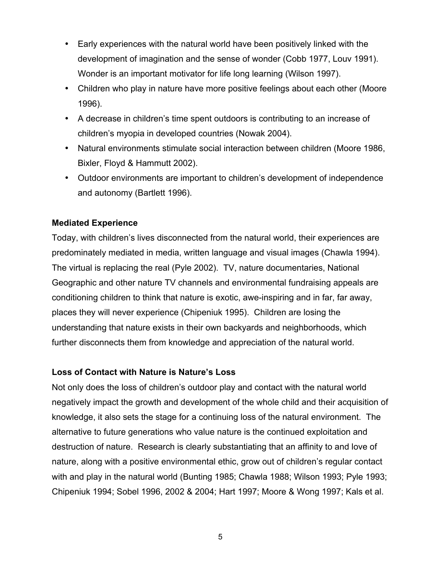- Early experiences with the natural world have been positively linked with the development of imagination and the sense of wonder (Cobb 1977, Louv 1991). Wonder is an important motivator for life long learning (Wilson 1997).
- Children who play in nature have more positive feelings about each other (Moore 1996).
- A decrease in children's time spent outdoors is contributing to an increase of children's myopia in developed countries (Nowak 2004).
- Natural environments stimulate social interaction between children (Moore 1986, Bixler, Floyd & Hammutt 2002).
- Outdoor environments are important to children's development of independence and autonomy (Bartlett 1996).

## **Mediated Experience**

Today, with children's lives disconnected from the natural world, their experiences are predominately mediated in media, written language and visual images (Chawla 1994). The virtual is replacing the real (Pyle 2002). TV, nature documentaries, National Geographic and other nature TV channels and environmental fundraising appeals are conditioning children to think that nature is exotic, awe-inspiring and in far, far away, places they will never experience (Chipeniuk 1995). Children are losing the understanding that nature exists in their own backyards and neighborhoods, which further disconnects them from knowledge and appreciation of the natural world.

## **Loss of Contact with Nature is Nature's Loss**

Not only does the loss of children's outdoor play and contact with the natural world negatively impact the growth and development of the whole child and their acquisition of knowledge, it also sets the stage for a continuing loss of the natural environment. The alternative to future generations who value nature is the continued exploitation and destruction of nature. Research is clearly substantiating that an affinity to and love of nature, along with a positive environmental ethic, grow out of children's regular contact with and play in the natural world (Bunting 1985; Chawla 1988; Wilson 1993; Pyle 1993; Chipeniuk 1994; Sobel 1996, 2002 & 2004; Hart 1997; Moore & Wong 1997; Kals et al.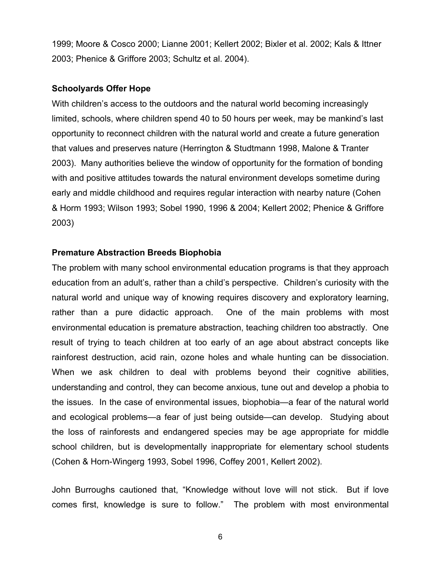1999; Moore & Cosco 2000; Lianne 2001; Kellert 2002; Bixler et al. 2002; Kals & Ittner 2003; Phenice & Griffore 2003; Schultz et al. 2004).

#### **Schoolyards Offer Hope**

With children's access to the outdoors and the natural world becoming increasingly limited, schools, where children spend 40 to 50 hours per week, may be mankind's last opportunity to reconnect children with the natural world and create a future generation that values and preserves nature (Herrington & Studtmann 1998, Malone & Tranter 2003). Many authorities believe the window of opportunity for the formation of bonding with and positive attitudes towards the natural environment develops sometime during early and middle childhood and requires regular interaction with nearby nature (Cohen & Horm 1993; Wilson 1993; Sobel 1990, 1996 & 2004; Kellert 2002; Phenice & Griffore 2003)

#### **Premature Abstraction Breeds Biophobia**

The problem with many school environmental education programs is that they approach education from an adult's, rather than a child's perspective. Children's curiosity with the natural world and unique way of knowing requires discovery and exploratory learning, rather than a pure didactic approach. One of the main problems with most environmental education is premature abstraction, teaching children too abstractly. One result of trying to teach children at too early of an age about abstract concepts like rainforest destruction, acid rain, ozone holes and whale hunting can be dissociation. When we ask children to deal with problems beyond their cognitive abilities, understanding and control, they can become anxious, tune out and develop a phobia to the issues. In the case of environmental issues, biophobia—a fear of the natural world and ecological problems—a fear of just being outside—can develop. Studying about the loss of rainforests and endangered species may be age appropriate for middle school children, but is developmentally inappropriate for elementary school students (Cohen & Horn-Wingerg 1993, Sobel 1996, Coffey 2001, Kellert 2002).

John Burroughs cautioned that, "Knowledge without love will not stick. But if love comes first, knowledge is sure to follow." The problem with most environmental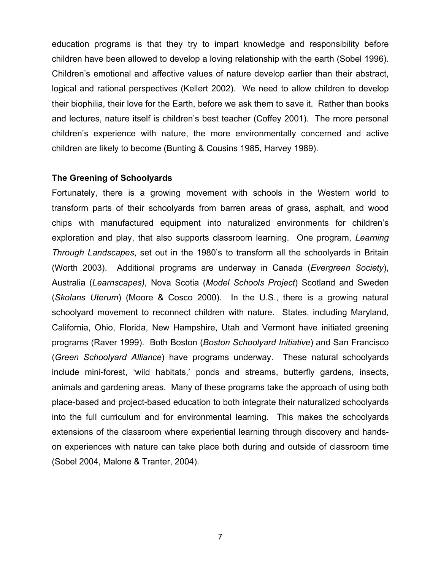education programs is that they try to impart knowledge and responsibility before children have been allowed to develop a loving relationship with the earth (Sobel 1996). Children's emotional and affective values of nature develop earlier than their abstract, logical and rational perspectives (Kellert 2002). We need to allow children to develop their biophilia, their love for the Earth, before we ask them to save it. Rather than books and lectures, nature itself is children's best teacher (Coffey 2001). The more personal children's experience with nature, the more environmentally concerned and active children are likely to become (Bunting & Cousins 1985, Harvey 1989).

#### **The Greening of Schoolyards**

Fortunately, there is a growing movement with schools in the Western world to transform parts of their schoolyards from barren areas of grass, asphalt, and wood chips with manufactured equipment into naturalized environments for children's exploration and play, that also supports classroom learning. One program, *Learning Through Landscapes*, set out in the 1980's to transform all the schoolyards in Britain (Worth 2003). Additional programs are underway in Canada (*Evergreen Society*), Australia (*Learnscapes)*, Nova Scotia (*Model Schools Project*) Scotland and Sweden (*Skolans Uterum*) (Moore & Cosco 2000). In the U.S., there is a growing natural schoolyard movement to reconnect children with nature. States, including Maryland, California, Ohio, Florida, New Hampshire, Utah and Vermont have initiated greening programs (Raver 1999). Both Boston (*Boston Schoolyard Initiative*) and San Francisco (*Green Schoolyard Alliance*) have programs underway. These natural schoolyards include mini-forest, 'wild habitats,' ponds and streams, butterfly gardens, insects, animals and gardening areas. Many of these programs take the approach of using both place-based and project-based education to both integrate their naturalized schoolyards into the full curriculum and for environmental learning. This makes the schoolyards extensions of the classroom where experiential learning through discovery and handson experiences with nature can take place both during and outside of classroom time (Sobel 2004, Malone & Tranter, 2004).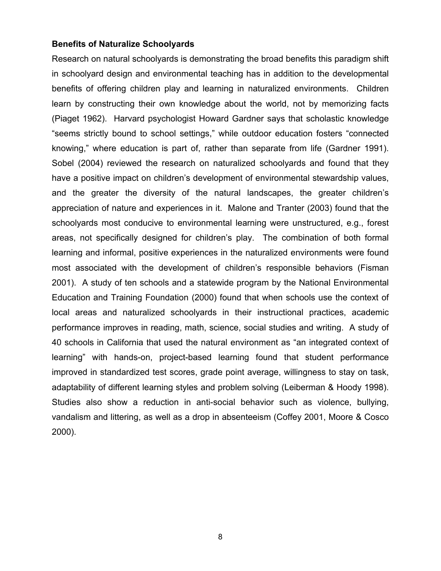#### **Benefits of Naturalize Schoolyards**

Research on natural schoolyards is demonstrating the broad benefits this paradigm shift in schoolyard design and environmental teaching has in addition to the developmental benefits of offering children play and learning in naturalized environments. Children learn by constructing their own knowledge about the world, not by memorizing facts (Piaget 1962). Harvard psychologist Howard Gardner says that scholastic knowledge "seems strictly bound to school settings," while outdoor education fosters "connected knowing," where education is part of, rather than separate from life (Gardner 1991). Sobel (2004) reviewed the research on naturalized schoolyards and found that they have a positive impact on children's development of environmental stewardship values, and the greater the diversity of the natural landscapes, the greater children's appreciation of nature and experiences in it. Malone and Tranter (2003) found that the schoolyards most conducive to environmental learning were unstructured, e.g., forest areas, not specifically designed for children's play. The combination of both formal learning and informal, positive experiences in the naturalized environments were found most associated with the development of children's responsible behaviors (Fisman 2001). A study of ten schools and a statewide program by the National Environmental Education and Training Foundation (2000) found that when schools use the context of local areas and naturalized schoolyards in their instructional practices, academic performance improves in reading, math, science, social studies and writing. A study of 40 schools in California that used the natural environment as "an integrated context of learning" with hands-on, project-based learning found that student performance improved in standardized test scores, grade point average, willingness to stay on task, adaptability of different learning styles and problem solving (Leiberman & Hoody 1998). Studies also show a reduction in anti-social behavior such as violence, bullying, vandalism and littering, as well as a drop in absenteeism (Coffey 2001, Moore & Cosco 2000).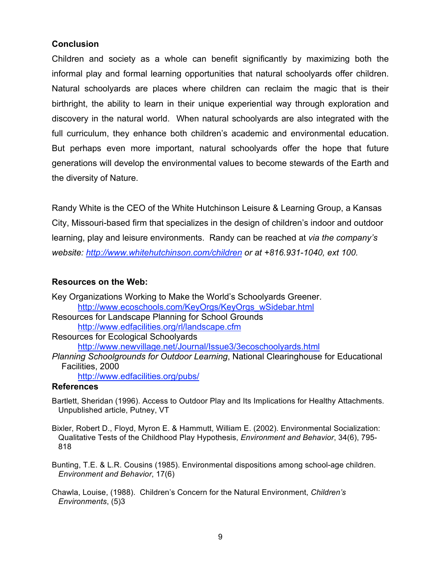### **Conclusion**

Children and society as a whole can benefit significantly by maximizing both the informal play and formal learning opportunities that natural schoolyards offer children. Natural schoolyards are places where children can reclaim the magic that is their birthright, the ability to learn in their unique experiential way through exploration and discovery in the natural world. When natural schoolyards are also integrated with the full curriculum, they enhance both children's academic and environmental education. But perhaps even more important, natural schoolyards offer the hope that future generations will develop the environmental values to become stewards of the Earth and the diversity of Nature.

Randy White is the CEO of the White Hutchinson Leisure & Learning Group, a Kansas City, Missouri-based firm that specializes in the design of children's indoor and outdoor learning, play and leisure environments. Randy can be reached at *via the company's website: http://www.whitehutchinson.com/children or at +816.931-1040, ext 100.*

### **Resources on the Web:**

| Key Organizations Working to Make the World's Schoolyards Greener.                  |
|-------------------------------------------------------------------------------------|
| http://www.ecoschools.com/KeyOrgs/KeyOrgs_wSidebar.html                             |
| Resources for Landscape Planning for School Grounds                                 |
| http://www.edfacilities.org/rl/landscape.cfm                                        |
| Resources for Ecological Schoolyards                                                |
| http://www.newvillage.net/Journal/Issue3/3ecoschoolyards.html                       |
| Planning Schoolgrounds for Outdoor Learning, National Clearinghouse for Educational |
| Facilities, 2000                                                                    |
| http://www.edfacilities.org/pubs/                                                   |

#### **References**

- Bartlett, Sheridan (1996). Access to Outdoor Play and Its Implications for Healthy Attachments. Unpublished article, Putney, VT
- Bixler, Robert D., Floyd, Myron E. & Hammutt, William E. (2002). Environmental Socialization: Qualitative Tests of the Childhood Play Hypothesis, *Environment and Behavior*, 34(6), 795- 818
- Bunting, T.E. & L.R. Cousins (1985). Environmental dispositions among school-age children. *Environment and Behavior*, 17(6)
- Chawla, Louise, (1988). Children's Concern for the Natural Environment, *Children's Environments*, (5)3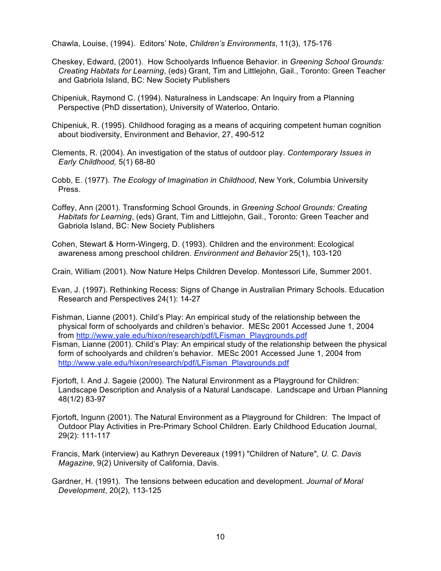Chawla, Louise, (1994). Editors' Note, *Children's Environments*, 11(3), 175-176

- Cheskey, Edward, (2001). How Schoolyards Influence Behavior. in *Greening School Grounds: Creating Habitats for Learning*, (eds) Grant, Tim and Littlejohn, Gail., Toronto: Green Teacher and Gabriola Island, BC: New Society Publishers
- Chipeniuk, Raymond C. (1994). Naturalness in Landscape: An Inquiry from a Planning Perspective (PhD dissertation), University of Waterloo, Ontario.
- Chipeniuk, R. (1995). Childhood foraging as a means of acquiring competent human cognition about biodiversity, Environment and Behavior, 27, 490-512
- Clements, R. (2004). An investigation of the status of outdoor play. *Contemporary Issues in Early Childhood,* 5(1) 68-80
- Cobb, E. (1977). *The Ecology of Imagination in Childhood*, New York, Columbia University Press.
- Coffey, Ann (2001). Transforming School Grounds, in *Greening School Grounds: Creating Habitats for Learning*, (eds) Grant, Tim and Littlejohn, Gail., Toronto: Green Teacher and Gabriola Island, BC: New Society Publishers
- Cohen, Stewart & Horm-Wingerg, D. (1993). Children and the environment: Ecological awareness among preschool children. *Environment and Behavior* 25(1), 103-120

Crain, William (2001). Now Nature Helps Children Develop. Montessori Life, Summer 2001.

- Evan, J. (1997). Rethinking Recess: Signs of Change in Australian Primary Schools. Education Research and Perspectives 24(1): 14-27
- Fishman, Lianne (2001). Child's Play: An empirical study of the relationship between the physical form of schoolyards and children's behavior. MESc 2001 Accessed June 1, 2004 from http://www.yale.edu/hixon/research/pdf/LFisman\_Playgrounds.pdf
- Fisman, Lianne (2001). Child's Play: An empirical study of the relationship between the physical form of schoolyards and children's behavior. MESc 2001 Accessed June 1, 2004 from http://www.yale.edu/hixon/research/pdf/LFisman\_Playgrounds.pdf
- Fjortoft, I. And J. Sageie (2000). The Natural Environment as a Playground for Children: Landscape Description and Analysis of a Natural Landscape. Landscape and Urban Planning 48(1/2) 83-97
- Fjortoft, Ingunn (2001). The Natural Environment as a Playground for Children: The Impact of Outdoor Play Activities in Pre-Primary School Children. Early Childhood Education Journal, 29(2): 111-117
- Francis, Mark (interview) au Kathryn Devereaux (1991) "Children of Nature", *U. C. Davis Magazine*, 9(2) University of California, Davis.
- Gardner, H. (1991). The tensions between education and development. *Journal of Moral Development*, 20(2), 113-125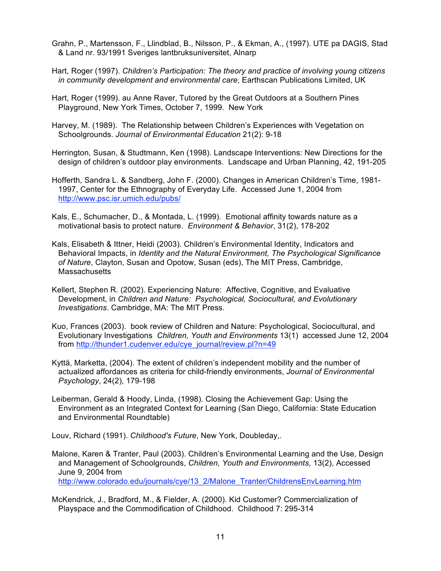- Grahn, P., Martensson, F., Llindblad, B., Nilsson, P., & Ekman, A., (1997). UTE pa DAGIS, Stad & Land nr. 93/1991 Sveriges lantbruksuniversitet, Alnarp
- Hart, Roger (1997). *Children's Participation: The theory and practice of involving young citizens in community development and environmental care*, Earthscan Publications Limited, UK
- Hart, Roger (1999). au Anne Raver, Tutored by the Great Outdoors at a Southern Pines Playground, New York Times, October 7, 1999. New York
- Harvey, M. (1989). The Relationship between Children's Experiences with Vegetation on Schoolgrounds. *Journal of Environmental Education* 21(2): 9-18
- Herrington, Susan, & Studtmann, Ken (1998). Landscape Interventions: New Directions for the design of children's outdoor play environments. Landscape and Urban Planning, 42, 191-205
- Hofferth, Sandra L. & Sandberg, John F. (2000). Changes in American Children's Time, 1981- 1997, Center for the Ethnography of Everyday Life. Accessed June 1, 2004 from http://www.psc.isr.umich.edu/pubs/
- Kals, E., Schumacher, D., & Montada, L. (1999). Emotional affinity towards nature as a motivational basis to protect nature. *Environment & Behavior*, 31(2), 178-202
- Kals, Elisabeth & Ittner, Heidi (2003). Children's Environmental Identity, Indicators and Behavioral Impacts, in *Identity and the Natural Environment, The Psychological Significance of Nature*, Clayton, Susan and Opotow, Susan (eds), The MIT Press, Cambridge, **Massachusetts**
- Kellert, Stephen R. (2002). Experiencing Nature: Affective, Cognitive, and Evaluative Development, in *Children and Nature: Psychological, Sociocultural, and Evolutionary Investigations*. Cambridge, MA: The MIT Press.
- Kuo, Frances (2003). book review of Children and Nature: Psychological, Sociocultural, and Evolutionary Investigations *Children, Youth and Environments* 13(1) accessed June 12, 2004 from http://thunder1.cudenver.edu/cye\_journal/review.pl?n=49
- Kyttä, Marketta, (2004). The extent of children's independent mobility and the number of actualized affordances as criteria for child-friendly environments, *Journal of Environmental Psychology*, 24(2), 179-198
- Leiberman, Gerald & Hoody, Linda, (1998). Closing the Achievement Gap: Using the Environment as an Integrated Context for Learning (San Diego, California: State Education and Environmental Roundtable)

Louv, Richard (1991). *Childhood's Future*, New York, Doubleday,.

- Malone, Karen & Tranter, Paul (2003). Children's Environmental Learning and the Use, Design and Management of Schoolgrounds, *Children, Youth and Environments*, 13(2), Accessed June 9, 2004 from http://www.colorado.edu/journals/cye/13\_2/Malone\_Tranter/ChildrensEnvLearning.htm
- McKendrick, J., Bradford, M., & Fielder, A. (2000). Kid Customer? Commercialization of Playspace and the Commodification of Childhood. Childhood 7: 295-314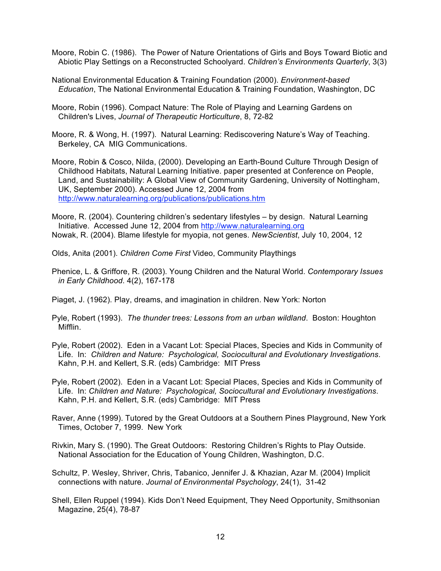Moore, Robin C. (1986). The Power of Nature Orientations of Girls and Boys Toward Biotic and Abiotic Play Settings on a Reconstructed Schoolyard. *Children's Environments Quarterly*, 3(3)

National Environmental Education & Training Foundation (2000). *Environment-based Education*, The National Environmental Education & Training Foundation, Washington, DC

Moore, Robin (1996). Compact Nature: The Role of Playing and Learning Gardens on Children's Lives, *Journal of Therapeutic Horticulture*, 8, 72-82

Moore, R. & Wong, H. (1997). Natural Learning: Rediscovering Nature's Way of Teaching. Berkeley, CA MIG Communications.

Moore, Robin & Cosco, Nilda, (2000). Developing an Earth-Bound Culture Through Design of Childhood Habitats, Natural Learning Initiative. paper presented at Conference on People, Land, and Sustainability: A Global View of Community Gardening, University of Nottingham, UK, September 2000). Accessed June 12, 2004 from http://www.naturalearning.org/publications/publications.htm

Moore, R. (2004). Countering children's sedentary lifestyles – by design. Natural Learning Initiative. Accessed June 12, 2004 from http://www.naturalearning.org Nowak, R. (2004). Blame lifestyle for myopia, not genes. *NewScientist*, July 10, 2004, 12

Olds, Anita (2001). *Children Come First* Video, Community Playthings

Phenice, L. & Griffore, R. (2003). Young Children and the Natural World. *Contemporary Issues in Early Childhood*. 4(2), 167-178

Piaget, J. (1962). Play, dreams, and imagination in children. New York: Norton

Pyle, Robert (1993). *The thunder trees: Lessons from an urban wildland*. Boston: Houghton Mifflin.

Pyle, Robert (2002). Eden in a Vacant Lot: Special Places, Species and Kids in Community of Life. In: *Children and Nature: Psychological, Sociocultural and Evolutionary Investigations*. Kahn, P.H. and Kellert, S.R. (eds) Cambridge: MIT Press

Pyle, Robert (2002). Eden in a Vacant Lot: Special Places, Species and Kids in Community of Life. In: *Children and Nature: Psychological, Sociocultural and Evolutionary Investigations*. Kahn, P.H. and Kellert, S.R. (eds) Cambridge: MIT Press

Raver, Anne (1999). Tutored by the Great Outdoors at a Southern Pines Playground, New York Times, October 7, 1999. New York

Rivkin, Mary S. (1990). The Great Outdoors: Restoring Children's Rights to Play Outside. National Association for the Education of Young Children, Washington, D.C.

Schultz, P. Wesley, Shriver, Chris, Tabanico, Jennifer J. & Khazian, Azar M. (2004) Implicit connections with nature. *Journal of Environmental Psychology*, 24(1), 31-42

Shell, Ellen Ruppel (1994). Kids Don't Need Equipment, They Need Opportunity, Smithsonian Magazine, 25(4), 78-87